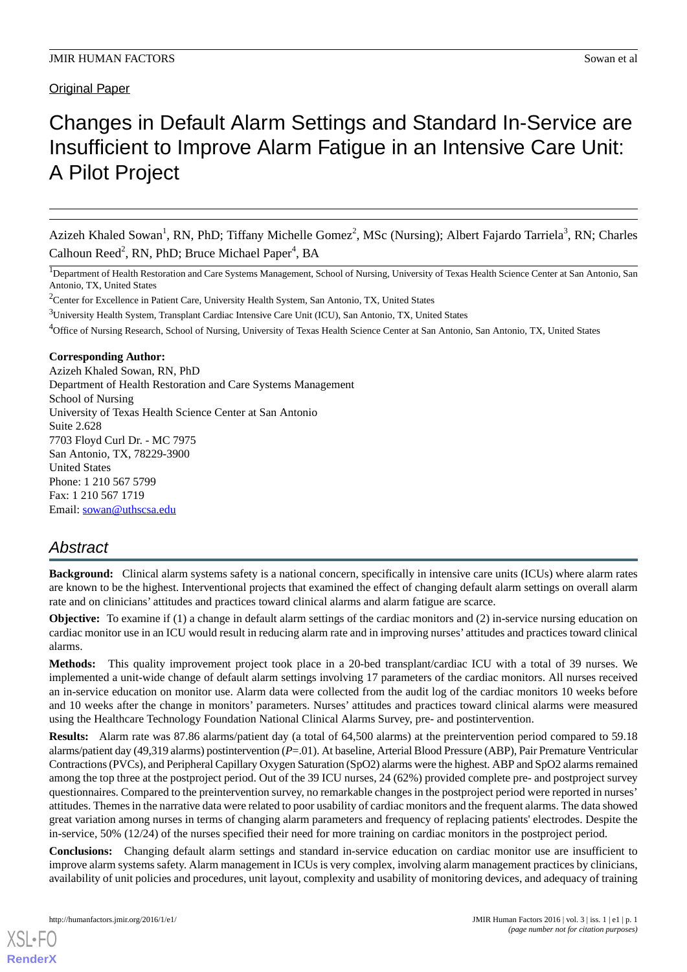# Changes in Default Alarm Settings and Standard In-Service are Insufficient to Improve Alarm Fatigue in an Intensive Care Unit: A Pilot Project

Azizeh Khaled Sowan<sup>1</sup>, RN, PhD; Tiffany Michelle Gomez<sup>2</sup>, MSc (Nursing); Albert Fajardo Tarriela<sup>3</sup>, RN; Charles Calhoun Reed<sup>2</sup>, RN, PhD; Bruce Michael Paper<sup>4</sup>, BA

<sup>1</sup>Department of Health Restoration and Care Systems Management, School of Nursing, University of Texas Health Science Center at San Antonio, San Antonio, TX, United States

<sup>2</sup>Center for Excellence in Patient Care, University Health System, San Antonio, TX, United States

<sup>3</sup>University Health System, Transplant Cardiac Intensive Care Unit (ICU), San Antonio, TX, United States

<sup>4</sup>Office of Nursing Research, School of Nursing, University of Texas Health Science Center at San Antonio, San Antonio, TX, United States

#### **Corresponding Author:**

Azizeh Khaled Sowan, RN, PhD Department of Health Restoration and Care Systems Management School of Nursing University of Texas Health Science Center at San Antonio Suite 2.628 7703 Floyd Curl Dr. - MC 7975 San Antonio, TX, 78229-3900 United States Phone: 1 210 567 5799 Fax: 1 210 567 1719 Email: [sowan@uthscsa.edu](mailto:sowan@uthscsa.edu)

# *Abstract*

**Background:** Clinical alarm systems safety is a national concern, specifically in intensive care units (ICUs) where alarm rates are known to be the highest. Interventional projects that examined the effect of changing default alarm settings on overall alarm rate and on clinicians' attitudes and practices toward clinical alarms and alarm fatigue are scarce.

**Objective:** To examine if (1) a change in default alarm settings of the cardiac monitors and (2) in-service nursing education on cardiac monitor use in an ICU would result in reducing alarm rate and in improving nurses' attitudes and practices toward clinical alarms.

**Methods:** This quality improvement project took place in a 20-bed transplant/cardiac ICU with a total of 39 nurses. We implemented a unit-wide change of default alarm settings involving 17 parameters of the cardiac monitors. All nurses received an in-service education on monitor use. Alarm data were collected from the audit log of the cardiac monitors 10 weeks before and 10 weeks after the change in monitors' parameters. Nurses' attitudes and practices toward clinical alarms were measured using the Healthcare Technology Foundation National Clinical Alarms Survey, pre- and postintervention.

**Results:** Alarm rate was 87.86 alarms/patient day (a total of 64,500 alarms) at the preintervention period compared to 59.18 alarms/patient day (49,319 alarms) postintervention (*P*=.01). At baseline, Arterial Blood Pressure (ABP), Pair Premature Ventricular Contractions (PVCs), and Peripheral Capillary Oxygen Saturation (SpO2) alarms were the highest. ABP and SpO2 alarms remained among the top three at the postproject period. Out of the 39 ICU nurses, 24 (62%) provided complete pre- and postproject survey questionnaires. Compared to the preintervention survey, no remarkable changes in the postproject period were reported in nurses' attitudes. Themes in the narrative data were related to poor usability of cardiac monitors and the frequent alarms. The data showed great variation among nurses in terms of changing alarm parameters and frequency of replacing patients' electrodes. Despite the in-service, 50% (12/24) of the nurses specified their need for more training on cardiac monitors in the postproject period.

**Conclusions:** Changing default alarm settings and standard in-service education on cardiac monitor use are insufficient to improve alarm systems safety. Alarm management in ICUs is very complex, involving alarm management practices by clinicians, availability of unit policies and procedures, unit layout, complexity and usability of monitoring devices, and adequacy of training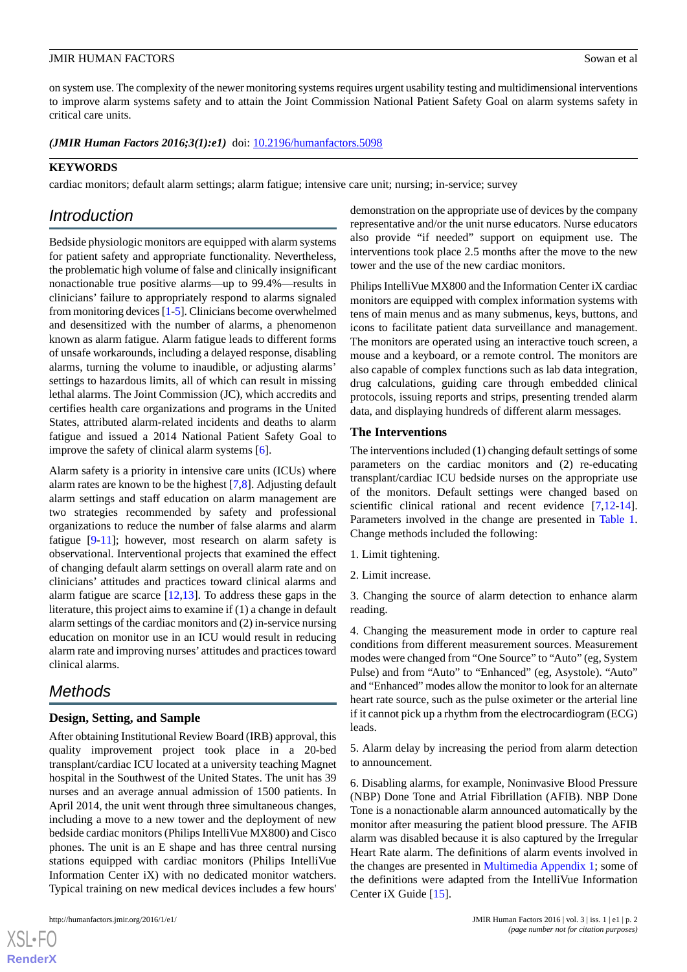on system use. The complexity of the newer monitoring systems requires urgent usability testing and multidimensional interventions to improve alarm systems safety and to attain the Joint Commission National Patient Safety Goal on alarm systems safety in critical care units.

(JMIR Human Factors 2016;3(1):e1) doi: **10.2196/humanfactors.5098** 

## **KEYWORDS**

cardiac monitors; default alarm settings; alarm fatigue; intensive care unit; nursing; in-service; survey

# *Introduction*

Bedside physiologic monitors are equipped with alarm systems for patient safety and appropriate functionality. Nevertheless, the problematic high volume of false and clinically insignificant nonactionable true positive alarms—up to 99.4%—results in clinicians' failure to appropriately respond to alarms signaled from monitoring devices [\[1](#page-11-0)-[5](#page-11-1)]. Clinicians become overwhelmed and desensitized with the number of alarms, a phenomenon known as alarm fatigue. Alarm fatigue leads to different forms of unsafe workarounds, including a delayed response, disabling alarms, turning the volume to inaudible, or adjusting alarms' settings to hazardous limits, all of which can result in missing lethal alarms. The Joint Commission (JC), which accredits and certifies health care organizations and programs in the United States, attributed alarm-related incidents and deaths to alarm fatigue and issued a 2014 National Patient Safety Goal to improve the safety of clinical alarm systems [[6\]](#page-11-2).

Alarm safety is a priority in intensive care units (ICUs) where alarm rates are known to be the highest [[7,](#page-11-3)[8](#page-11-4)]. Adjusting default alarm settings and staff education on alarm management are two strategies recommended by safety and professional organizations to reduce the number of false alarms and alarm fatigue [[9-](#page-11-5)[11](#page-11-6)]; however, most research on alarm safety is observational. Interventional projects that examined the effect of changing default alarm settings on overall alarm rate and on clinicians' attitudes and practices toward clinical alarms and alarm fatigue are scarce [[12](#page-11-7)[,13](#page-11-8)]. To address these gaps in the literature, this project aims to examine if (1) a change in default alarm settings of the cardiac monitors and (2) in-service nursing education on monitor use in an ICU would result in reducing alarm rate and improving nurses' attitudes and practices toward clinical alarms.

# *Methods*

# **Design, Setting, and Sample**

After obtaining Institutional Review Board (IRB) approval, this quality improvement project took place in a 20-bed transplant/cardiac ICU located at a university teaching Magnet hospital in the Southwest of the United States. The unit has 39 nurses and an average annual admission of 1500 patients. In April 2014, the unit went through three simultaneous changes, including a move to a new tower and the deployment of new bedside cardiac monitors (Philips IntelliVue MX800) and Cisco phones. The unit is an E shape and has three central nursing stations equipped with cardiac monitors (Philips IntelliVue Information Center iX) with no dedicated monitor watchers. Typical training on new medical devices includes a few hours'

 $XSI - F($ **[RenderX](http://www.renderx.com/)** demonstration on the appropriate use of devices by the company representative and/or the unit nurse educators. Nurse educators also provide "if needed" support on equipment use. The interventions took place 2.5 months after the move to the new tower and the use of the new cardiac monitors.

Philips IntelliVue MX800 and the Information Center iX cardiac monitors are equipped with complex information systems with tens of main menus and as many submenus, keys, buttons, and icons to facilitate patient data surveillance and management. The monitors are operated using an interactive touch screen, a mouse and a keyboard, or a remote control. The monitors are also capable of complex functions such as lab data integration, drug calculations, guiding care through embedded clinical protocols, issuing reports and strips, presenting trended alarm data, and displaying hundreds of different alarm messages.

#### **The Interventions**

The interventions included (1) changing default settings of some parameters on the cardiac monitors and (2) re-educating transplant/cardiac ICU bedside nurses on the appropriate use of the monitors. Default settings were changed based on scientific clinical rational and recent evidence [\[7](#page-11-3),[12-](#page-11-7)[14\]](#page-11-9). Parameters involved in the change are presented in [Table 1](#page-3-0). Change methods included the following:

- 1. Limit tightening.
- 2. Limit increase.

3. Changing the source of alarm detection to enhance alarm reading.

4. Changing the measurement mode in order to capture real conditions from different measurement sources. Measurement modes were changed from "One Source" to "Auto" (eg, System Pulse) and from "Auto" to "Enhanced" (eg, Asystole). "Auto" and "Enhanced" modes allow the monitor to look for an alternate heart rate source, such as the pulse oximeter or the arterial line if it cannot pick up a rhythm from the electrocardiogram (ECG) leads.

5. Alarm delay by increasing the period from alarm detection to announcement.

6. Disabling alarms, for example, Noninvasive Blood Pressure (NBP) Done Tone and Atrial Fibrillation (AFIB). NBP Done Tone is a nonactionable alarm announced automatically by the monitor after measuring the patient blood pressure. The AFIB alarm was disabled because it is also captured by the Irregular Heart Rate alarm. The definitions of alarm events involved in the changes are presented in [Multimedia Appendix 1](#page-11-10); some of the definitions were adapted from the IntelliVue Information Center iX Guide [[15\]](#page-11-11).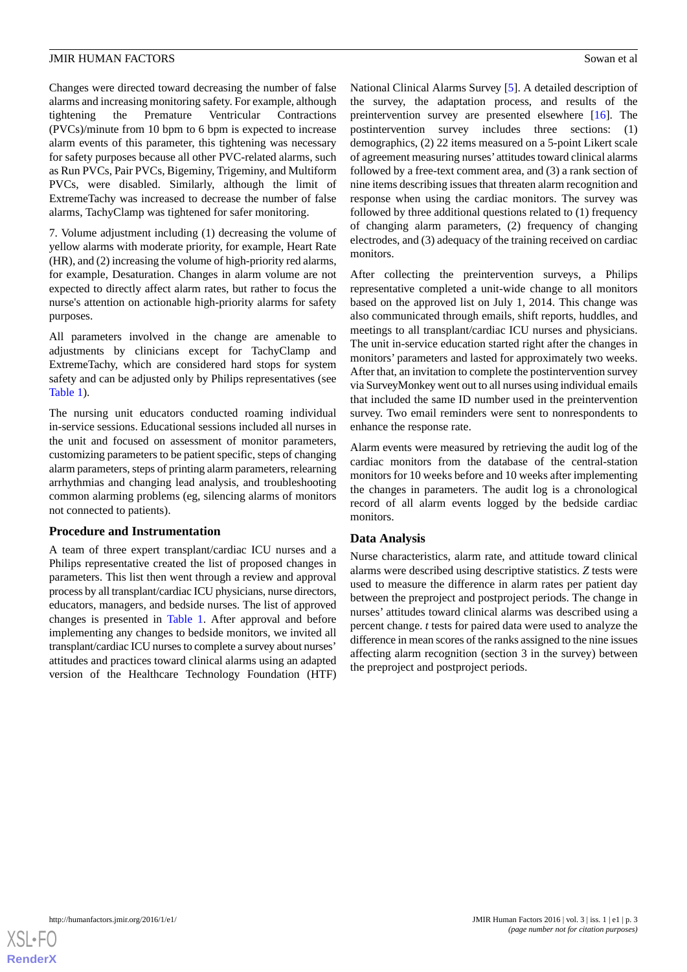Changes were directed toward decreasing the number of false alarms and increasing monitoring safety. For example, although tightening the Premature Ventricular Contractions (PVCs)/minute from 10 bpm to 6 bpm is expected to increase alarm events of this parameter, this tightening was necessary for safety purposes because all other PVC-related alarms, such as Run PVCs, Pair PVCs, Bigeminy, Trigeminy, and Multiform PVCs, were disabled. Similarly, although the limit of ExtremeTachy was increased to decrease the number of false alarms, TachyClamp was tightened for safer monitoring.

7. Volume adjustment including (1) decreasing the volume of yellow alarms with moderate priority, for example, Heart Rate (HR), and (2) increasing the volume of high-priority red alarms, for example, Desaturation. Changes in alarm volume are not expected to directly affect alarm rates, but rather to focus the nurse's attention on actionable high-priority alarms for safety purposes.

All parameters involved in the change are amenable to adjustments by clinicians except for TachyClamp and ExtremeTachy, which are considered hard stops for system safety and can be adjusted only by Philips representatives (see [Table 1\)](#page-3-0).

The nursing unit educators conducted roaming individual in-service sessions. Educational sessions included all nurses in the unit and focused on assessment of monitor parameters, customizing parameters to be patient specific, steps of changing alarm parameters, steps of printing alarm parameters, relearning arrhythmias and changing lead analysis, and troubleshooting common alarming problems (eg, silencing alarms of monitors not connected to patients).

#### **Procedure and Instrumentation**

A team of three expert transplant/cardiac ICU nurses and a Philips representative created the list of proposed changes in parameters. This list then went through a review and approval process by all transplant/cardiac ICU physicians, nurse directors, educators, managers, and bedside nurses. The list of approved changes is presented in [Table 1](#page-3-0). After approval and before implementing any changes to bedside monitors, we invited all transplant/cardiac ICU nurses to complete a survey about nurses' attitudes and practices toward clinical alarms using an adapted version of the Healthcare Technology Foundation (HTF)

National Clinical Alarms Survey [\[5](#page-11-1)]. A detailed description of the survey, the adaptation process, and results of the preintervention survey are presented elsewhere [\[16](#page-11-12)]. The postintervention survey includes three sections: (1) demographics, (2) 22 items measured on a 5-point Likert scale of agreement measuring nurses' attitudes toward clinical alarms followed by a free-text comment area, and (3) a rank section of nine items describing issues that threaten alarm recognition and response when using the cardiac monitors. The survey was followed by three additional questions related to (1) frequency of changing alarm parameters, (2) frequency of changing electrodes, and (3) adequacy of the training received on cardiac monitors.

After collecting the preintervention surveys, a Philips representative completed a unit-wide change to all monitors based on the approved list on July 1, 2014. This change was also communicated through emails, shift reports, huddles, and meetings to all transplant/cardiac ICU nurses and physicians. The unit in-service education started right after the changes in monitors' parameters and lasted for approximately two weeks. After that, an invitation to complete the postintervention survey via SurveyMonkey went out to all nurses using individual emails that included the same ID number used in the preintervention survey. Two email reminders were sent to nonrespondents to enhance the response rate.

Alarm events were measured by retrieving the audit log of the cardiac monitors from the database of the central-station monitors for 10 weeks before and 10 weeks after implementing the changes in parameters. The audit log is a chronological record of all alarm events logged by the bedside cardiac monitors.

# **Data Analysis**

Nurse characteristics, alarm rate, and attitude toward clinical alarms were described using descriptive statistics. *Z* tests were used to measure the difference in alarm rates per patient day between the preproject and postproject periods. The change in nurses' attitudes toward clinical alarms was described using a percent change. *t* tests for paired data were used to analyze the difference in mean scores of the ranks assigned to the nine issues affecting alarm recognition (section 3 in the survey) between the preproject and postproject periods.

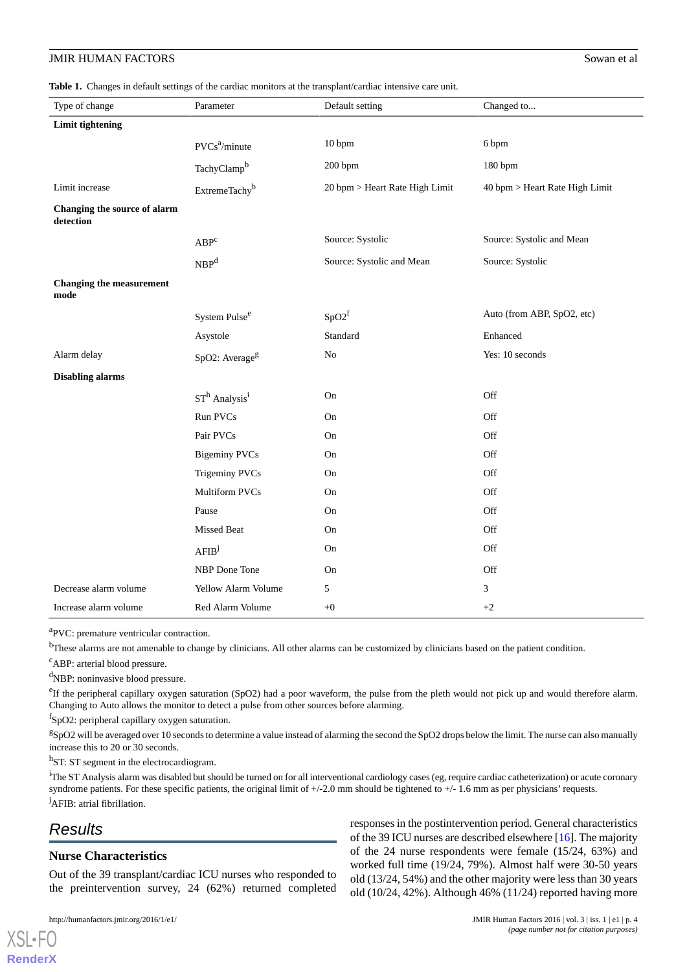<span id="page-3-0"></span>**Table 1.** Changes in default settings of the cardiac monitors at the transplant/cardiac intensive care unit.

| Type of change                            | Parameter                   | Default setting                | Changed to                     |
|-------------------------------------------|-----------------------------|--------------------------------|--------------------------------|
| Limit tightening                          |                             |                                |                                |
|                                           | $PVCs^2/minute$             | 10 bpm                         | 6 bpm                          |
|                                           | TachyClamp <sup>b</sup>     | 200 bpm                        | 180 bpm                        |
| Limit increase                            | ExtremeTachy <sup>b</sup>   | 20 bpm > Heart Rate High Limit | 40 bpm > Heart Rate High Limit |
| Changing the source of alarm<br>detection |                             |                                |                                |
|                                           | $ABP^c$                     | Source: Systolic               | Source: Systolic and Mean      |
|                                           | NBP <sup>d</sup>            | Source: Systolic and Mean      | Source: Systolic               |
| <b>Changing the measurement</b><br>mode   |                             |                                |                                |
|                                           | System Pulse <sup>e</sup>   | $SpO2^f$                       | Auto (from ABP, SpO2, etc)     |
|                                           | Asystole                    | Standard                       | Enhanced                       |
| Alarm delay                               | SpO2: Average <sup>g</sup>  | $\rm No$                       | Yes: 10 seconds                |
| <b>Disabling alarms</b>                   |                             |                                |                                |
|                                           | $STh$ Analysis <sup>i</sup> | On                             | Off                            |
|                                           | Run PVCs                    | On                             | Off                            |
|                                           | Pair PVCs                   | On                             | Off                            |
|                                           | <b>Bigeminy PVCs</b>        | On                             | Off                            |
|                                           | <b>Trigeminy PVCs</b>       | On                             | Off                            |
|                                           | Multiform PVCs              | On                             | Off                            |
|                                           | Pause                       | On                             | Off                            |
|                                           | Missed Beat                 | On                             | Off                            |
|                                           | AFIB <sup>j</sup>           | On                             | Off                            |
|                                           | NBP Done Tone               | On                             | Off                            |
| Decrease alarm volume                     | <b>Yellow Alarm Volume</b>  | 5                              | 3                              |
| Increase alarm volume                     | Red Alarm Volume            | $+0$                           | $+2$                           |

<sup>a</sup>PVC: premature ventricular contraction.

<sup>b</sup>These alarms are not amenable to change by clinicians. All other alarms can be customized by clinicians based on the patient condition.

<sup>c</sup>ABP: arterial blood pressure.

<sup>d</sup>NBP: noninvasive blood pressure.

<sup>e</sup>If the peripheral capillary oxygen saturation (SpO2) had a poor waveform, the pulse from the pleth would not pick up and would therefore alarm. Changing to Auto allows the monitor to detect a pulse from other sources before alarming.

f SpO2: peripheral capillary oxygen saturation.

 ${}^{g}$ SpO2 will be averaged over 10 seconds to determine a value instead of alarming the second the SpO2 drops below the limit. The nurse can also manually increase this to 20 or 30 seconds.

<sup>h</sup>ST: ST segment in the electrocardiogram.

<sup>i</sup>The ST Analysis alarm was disabled but should be turned on for all interventional cardiology cases (eg, require cardiac catheterization) or acute coronary syndrome patients. For these specific patients, the original limit of  $+/-2.0$  mm should be tightened to  $+/-1.6$  mm as per physicians' requests. <sup>j</sup>AFIB: atrial fibrillation.

# *Results*

 $X$ SL•F $O$ **[RenderX](http://www.renderx.com/)**

#### **Nurse Characteristics**

Out of the 39 transplant/cardiac ICU nurses who responded to the preintervention survey, 24 (62%) returned completed

responses in the postintervention period. General characteristics of the 39 ICU nurses are described elsewhere [\[16](#page-11-12)]. The majority of the 24 nurse respondents were female (15/24, 63%) and worked full time (19/24, 79%). Almost half were 30-50 years old (13/24, 54%) and the other majority were less than 30 years old (10/24, 42%). Although 46% (11/24) reported having more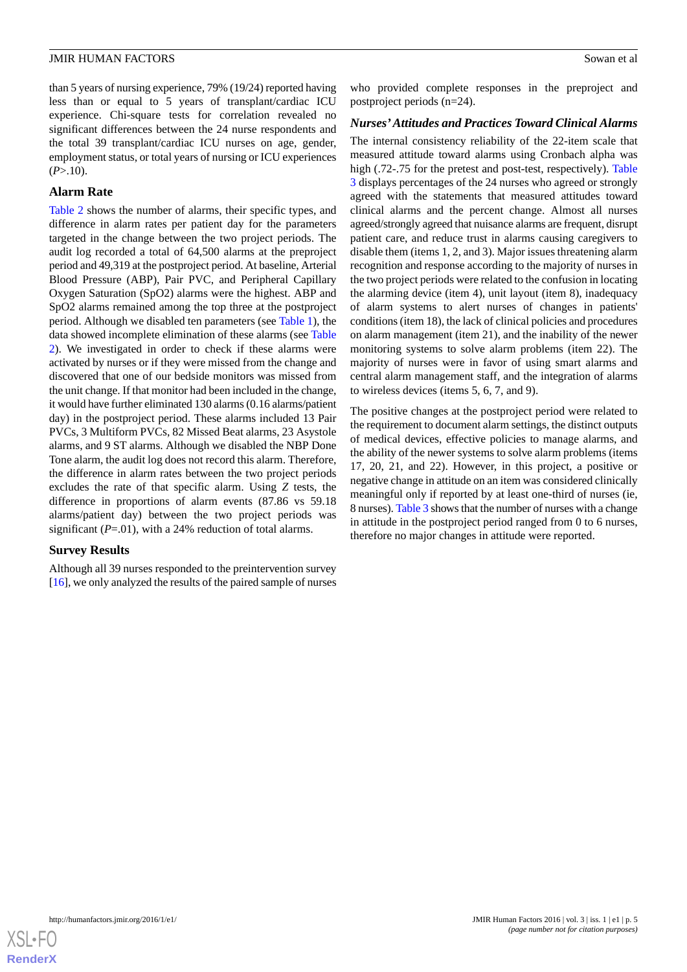than 5 years of nursing experience, 79% (19/24) reported having less than or equal to 5 years of transplant/cardiac ICU experience. Chi-square tests for correlation revealed no significant differences between the 24 nurse respondents and the total 39 transplant/cardiac ICU nurses on age, gender, employment status, or total years of nursing or ICU experiences  $(P > 10)$ .

# **Alarm Rate**

[Table 2](#page-5-0) shows the number of alarms, their specific types, and difference in alarm rates per patient day for the parameters targeted in the change between the two project periods. The audit log recorded a total of 64,500 alarms at the preproject period and 49,319 at the postproject period. At baseline, Arterial Blood Pressure (ABP), Pair PVC, and Peripheral Capillary Oxygen Saturation (SpO2) alarms were the highest. ABP and SpO2 alarms remained among the top three at the postproject period. Although we disabled ten parameters (see [Table 1](#page-3-0)), the data showed incomplete elimination of these alarms (see [Table](#page-5-0) [2\)](#page-5-0). We investigated in order to check if these alarms were activated by nurses or if they were missed from the change and discovered that one of our bedside monitors was missed from the unit change. If that monitor had been included in the change, it would have further eliminated 130 alarms (0.16 alarms/patient day) in the postproject period. These alarms included 13 Pair PVCs, 3 Multiform PVCs, 82 Missed Beat alarms, 23 Asystole alarms, and 9 ST alarms. Although we disabled the NBP Done Tone alarm, the audit log does not record this alarm. Therefore, the difference in alarm rates between the two project periods excludes the rate of that specific alarm. Using *Z* tests, the difference in proportions of alarm events (87.86 vs 59.18 alarms/patient day) between the two project periods was significant (*P*=.01), with a 24% reduction of total alarms.

#### **Survey Results**

Although all 39 nurses responded to the preintervention survey [[16\]](#page-11-12), we only analyzed the results of the paired sample of nurses who provided complete responses in the preproject and postproject periods (n=24).

#### *Nurses'Attitudes and Practices Toward Clinical Alarms*

The internal consistency reliability of the 22-item scale that measured attitude toward alarms using Cronbach alpha was high (.72-.75 for the pretest and post-test, respectively). [Table](#page-7-0) [3](#page-7-0) displays percentages of the 24 nurses who agreed or strongly agreed with the statements that measured attitudes toward clinical alarms and the percent change. Almost all nurses agreed/strongly agreed that nuisance alarms are frequent, disrupt patient care, and reduce trust in alarms causing caregivers to disable them (items 1, 2, and 3). Major issues threatening alarm recognition and response according to the majority of nurses in the two project periods were related to the confusion in locating the alarming device (item 4), unit layout (item 8), inadequacy of alarm systems to alert nurses of changes in patients' conditions (item 18), the lack of clinical policies and procedures on alarm management (item 21), and the inability of the newer monitoring systems to solve alarm problems (item 22). The majority of nurses were in favor of using smart alarms and central alarm management staff, and the integration of alarms to wireless devices (items 5, 6, 7, and 9).

The positive changes at the postproject period were related to the requirement to document alarm settings, the distinct outputs of medical devices, effective policies to manage alarms, and the ability of the newer systems to solve alarm problems (items 17, 20, 21, and 22). However, in this project, a positive or negative change in attitude on an item was considered clinically meaningful only if reported by at least one-third of nurses (ie, 8 nurses). [Table 3](#page-7-0) shows that the number of nurses with a change in attitude in the postproject period ranged from 0 to 6 nurses, therefore no major changes in attitude were reported.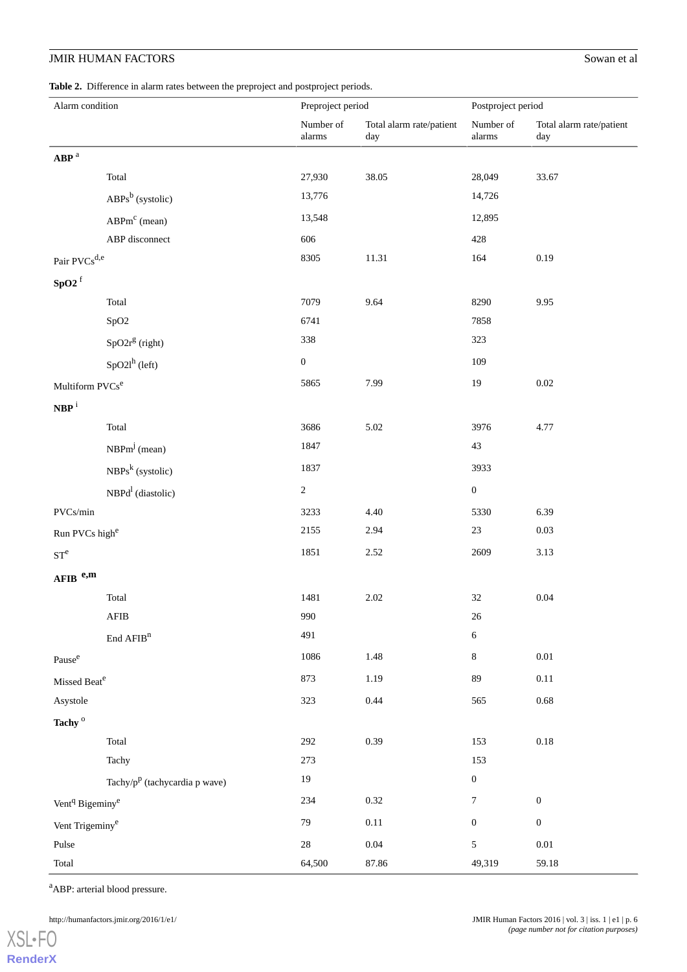<span id="page-5-0"></span>**Table 2.** Difference in alarm rates between the preproject and postproject periods.

| Alarm condition                         |                                                     | Preproject period   |                                 | Postproject period       |                                 |  |
|-----------------------------------------|-----------------------------------------------------|---------------------|---------------------------------|--------------------------|---------------------------------|--|
|                                         |                                                     | Number of<br>alarms | Total alarm rate/patient<br>day | Number of<br>$\,$ alarms | Total alarm rate/patient<br>day |  |
| $\mathbf{ABP}$ $^{\mathrm{a}}$          |                                                     |                     |                                 |                          |                                 |  |
|                                         | Total                                               | 27,930              | 38.05                           | 28,049                   | 33.67                           |  |
|                                         | $ABPs^b$ (systolic)                                 | 13,776              |                                 | 14,726                   |                                 |  |
|                                         | $ABPm^c$ (mean)                                     | 13,548              |                                 | 12,895                   |                                 |  |
|                                         | ABP disconnect                                      | 606                 |                                 | 428                      |                                 |  |
| Pair $\mathsf{PVCs}^{d,e}$              |                                                     | 8305                | 11.31                           | 164                      | 0.19                            |  |
| ${\bf SpO2}^{\rm f}$                    |                                                     |                     |                                 |                          |                                 |  |
|                                         | Total                                               | 7079                | 9.64                            | 8290                     | 9.95                            |  |
|                                         | SpO <sub>2</sub>                                    | 6741                |                                 | 7858                     |                                 |  |
|                                         | $SpO2rg$ (right)                                    | 338                 |                                 | 323                      |                                 |  |
|                                         | $SpO2l^h$ (left)                                    | $\boldsymbol{0}$    |                                 | 109                      |                                 |  |
| Multiform $\operatorname{PVCs}^e$       |                                                     | 5865                | 7.99                            | 19                       | $0.02\,$                        |  |
| $NBP$ <sup>i</sup>                      |                                                     |                     |                                 |                          |                                 |  |
|                                         | Total                                               | 3686                | 5.02                            | 3976                     | 4.77                            |  |
|                                         | $NBPm^{j}$ (mean)                                   | 1847                |                                 | 43                       |                                 |  |
|                                         | $NBPs^{k}$ (systolic)                               | 1837                |                                 | 3933                     |                                 |  |
|                                         | NBPd <sup>1</sup> (diastolic)                       | $\overline{c}$      |                                 | $\boldsymbol{0}$         |                                 |  |
| PVCs/min                                |                                                     | 3233                | 4.40                            | 5330                     | 6.39                            |  |
| Run PVCs high <sup>e</sup>              |                                                     | 2155                | 2.94                            | $23\,$                   | 0.03                            |  |
| $\mathrm{ST}^{\mathrm{e}}$              |                                                     | 1851                | 2.52                            | 2609                     | 3.13                            |  |
| AFIB e,m                                |                                                     |                     |                                 |                          |                                 |  |
|                                         | Total                                               | 1481                | 2.02                            | $32\,$                   | $0.04\,$                        |  |
|                                         | AFIB                                                | 990                 |                                 | 26                       |                                 |  |
|                                         | $\operatorname{End}\nolimits \operatorname{AFIB}^n$ | 491                 |                                 | 6                        |                                 |  |
| Pause <sup>e</sup>                      |                                                     | 1086                | $1.48\,$                        | 8                        | $0.01\,$                        |  |
| Missed Beat <sup>e</sup>                |                                                     | 873                 | 1.19                            | 89                       | $0.11\,$                        |  |
| Asystole                                |                                                     | 323                 | 0.44                            | 565                      | $0.68\,$                        |  |
| Tachy <sup>o</sup>                      |                                                     |                     |                                 |                          |                                 |  |
|                                         | Total                                               | 292                 | 0.39                            | 153                      | $0.18\,$                        |  |
|                                         | Tachy                                               | 273                 |                                 | 153                      |                                 |  |
|                                         | Tachy/ $p^p$ (tachycardia p wave)                   | $19\,$              |                                 | $\boldsymbol{0}$         |                                 |  |
| Vent <sup>q</sup> Bigeminy <sup>e</sup> |                                                     | 234                 | 0.32                            | 7                        | $\boldsymbol{0}$                |  |
| Vent Trigeminy <sup>e</sup>             |                                                     | 79                  | $0.11\,$                        | $\boldsymbol{0}$         | $\boldsymbol{0}$                |  |
| Pulse                                   |                                                     | $28\,$              | $0.04\,$                        | 5                        | $0.01\,$                        |  |
| Total                                   |                                                     | 64,500              | 87.86                           | 49,319                   | 59.18                           |  |

<sup>a</sup>ABP: arterial blood pressure.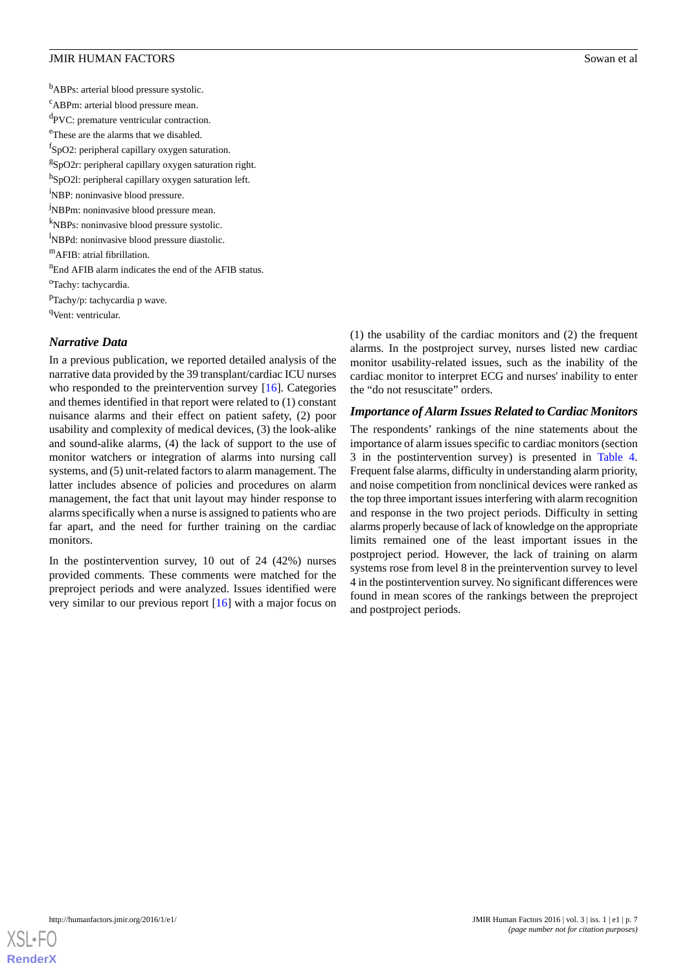<sup>b</sup>ABPs: arterial blood pressure systolic. <sup>c</sup>ABPm: arterial blood pressure mean. <sup>d</sup>PVC: premature ventricular contraction. <sup>e</sup>These are the alarms that we disabled. f SpO2: peripheral capillary oxygen saturation. <sup>g</sup>SpO2r: peripheral capillary oxygen saturation right. h<br>SpO2l: peripheral capillary oxygen saturation left. <sup>i</sup>NBP: noninvasive blood pressure. <sup>j</sup>NBPm: noninvasive blood pressure mean. <sup>k</sup>NBPs: noninvasive blood pressure systolic. <sup>1</sup>NBPd: noninvasive blood pressure diastolic. <sup>m</sup>AFIB: atrial fibrillation. <sup>n</sup>End AFIB alarm indicates the end of the AFIB status. <sup>o</sup>Tachy: tachycardia. <sup>p</sup>Tachy/p: tachycardia p wave. <sup>q</sup>Vent: ventricular. *Narrative Data*

In a previous publication, we reported detailed analysis of the narrative data provided by the 39 transplant/cardiac ICU nurses who responded to the preintervention survey [\[16](#page-11-12)]. Categories and themes identified in that report were related to (1) constant nuisance alarms and their effect on patient safety, (2) poor usability and complexity of medical devices, (3) the look-alike and sound-alike alarms, (4) the lack of support to the use of monitor watchers or integration of alarms into nursing call systems, and (5) unit-related factors to alarm management. The latter includes absence of policies and procedures on alarm management, the fact that unit layout may hinder response to alarms specifically when a nurse is assigned to patients who are far apart, and the need for further training on the cardiac monitors.

In the postintervention survey, 10 out of 24 (42%) nurses provided comments. These comments were matched for the preproject periods and were analyzed. Issues identified were very similar to our previous report [\[16](#page-11-12)] with a major focus on (1) the usability of the cardiac monitors and (2) the frequent alarms. In the postproject survey, nurses listed new cardiac monitor usability-related issues, such as the inability of the cardiac monitor to interpret ECG and nurses' inability to enter the "do not resuscitate" orders.

#### *Importance of Alarm Issues Related to Cardiac Monitors*

The respondents' rankings of the nine statements about the importance of alarm issues specific to cardiac monitors (section 3 in the postintervention survey) is presented in [Table 4](#page-8-0). Frequent false alarms, difficulty in understanding alarm priority, and noise competition from nonclinical devices were ranked as the top three important issues interfering with alarm recognition and response in the two project periods. Difficulty in setting alarms properly because of lack of knowledge on the appropriate limits remained one of the least important issues in the postproject period. However, the lack of training on alarm systems rose from level 8 in the preintervention survey to level 4 in the postintervention survey. No significant differences were found in mean scores of the rankings between the preproject and postproject periods.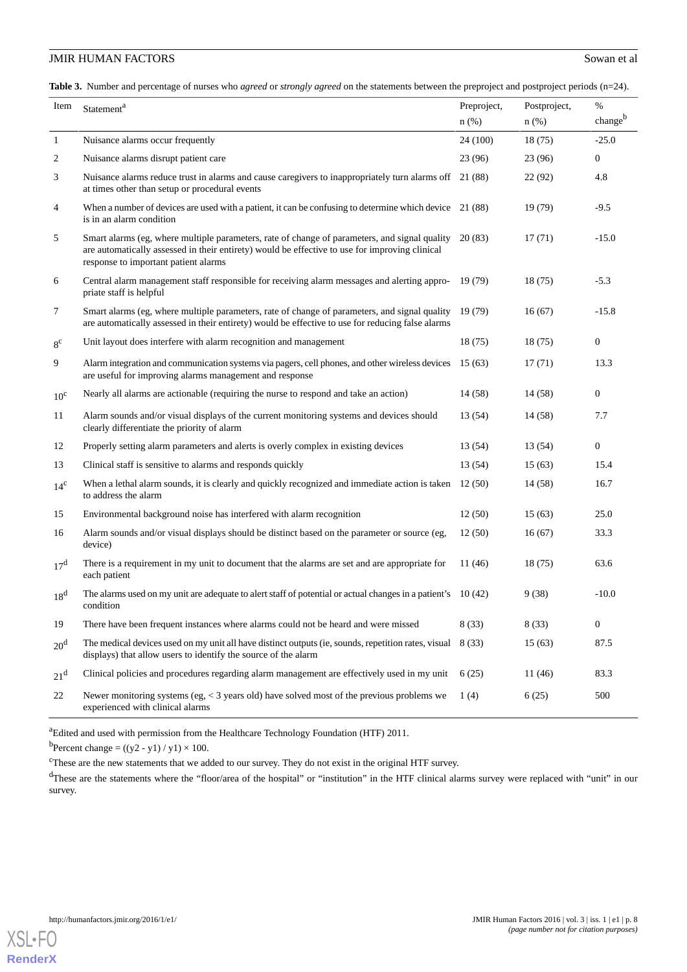<span id="page-7-0"></span>**Table 3.** Number and percentage of nurses who *agreed* or *strongly agreed* on the statements between the preproject and postproject periods (n=24).

| Item            | Statement <sup>a</sup>                                                                                                                                                                                                                          |          | Postproject, | %                |
|-----------------|-------------------------------------------------------------------------------------------------------------------------------------------------------------------------------------------------------------------------------------------------|----------|--------------|------------------|
|                 |                                                                                                                                                                                                                                                 | n(%)     | $n$ (%)      | changeb          |
| $\mathbf{1}$    | Nuisance alarms occur frequently                                                                                                                                                                                                                | 24 (100) | 18(75)       | $-25.0$          |
| 2               | Nuisance alarms disrupt patient care                                                                                                                                                                                                            | 23(96)   | 23(96)       | $\overline{0}$   |
| 3               | Nuisance alarms reduce trust in alarms and cause caregivers to inappropriately turn alarms off 21 (88)<br>at times other than setup or procedural events                                                                                        |          | 22(92)       | 4.8              |
| 4               | When a number of devices are used with a patient, it can be confusing to determine which device 21 (88)<br>is in an alarm condition                                                                                                             |          | 19(79)       | $-9.5$           |
| 5               | Smart alarms (eg, where multiple parameters, rate of change of parameters, and signal quality 20 (83)<br>are automatically assessed in their entirety) would be effective to use for improving clinical<br>response to important patient alarms |          | 17(71)       | $-15.0$          |
| 6               | Central alarm management staff responsible for receiving alarm messages and alerting appro-<br>priate staff is helpful                                                                                                                          | 19 (79)  | 18(75)       | $-5.3$           |
| 7               | Smart alarms (eg, where multiple parameters, rate of change of parameters, and signal quality<br>are automatically assessed in their entirety) would be effective to use for reducing false alarms                                              | 19(79)   | 16(67)       | $-15.8$          |
| $8^{\circ}$     | Unit layout does interfere with alarm recognition and management                                                                                                                                                                                | 18(75)   | 18(75)       | $\mathbf{0}$     |
| 9               | Alarm integration and communication systems via pagers, cell phones, and other wireless devices<br>are useful for improving alarms management and response                                                                                      | 15(63)   | 17(71)       | 13.3             |
| $10^{\circ}$    | Nearly all alarms are actionable (requiring the nurse to respond and take an action)                                                                                                                                                            | 14(58)   | 14(58)       | $\boldsymbol{0}$ |
| 11              | Alarm sounds and/or visual displays of the current monitoring systems and devices should<br>clearly differentiate the priority of alarm                                                                                                         | 13 (54)  | 14(58)       | 7.7              |
| 12              | Properly setting alarm parameters and alerts is overly complex in existing devices                                                                                                                                                              | 13 (54)  | 13 (54)      | $\boldsymbol{0}$ |
| 13              | Clinical staff is sensitive to alarms and responds quickly                                                                                                                                                                                      | 13(54)   | 15(63)       | 15.4             |
| $14^{\circ}$    | When a lethal alarm sounds, it is clearly and quickly recognized and immediate action is taken<br>to address the alarm                                                                                                                          | 12(50)   | 14(58)       | 16.7             |
| 15              | Environmental background noise has interfered with alarm recognition                                                                                                                                                                            | 12(50)   | 15(63)       | 25.0             |
| 16              | Alarm sounds and/or visual displays should be distinct based on the parameter or source (eg,<br>device)                                                                                                                                         | 12(50)   | 16(67)       | 33.3             |
| 17 <sup>d</sup> | There is a requirement in my unit to document that the alarms are set and are appropriate for<br>each patient                                                                                                                                   | 11 (46)  | 18(75)       | 63.6             |
| 18 <sup>d</sup> | The alarms used on my unit are adequate to alert staff of potential or actual changes in a patient's 10 (42)<br>condition                                                                                                                       |          | 9(38)        | $-10.0$          |
| 19              | There have been frequent instances where alarms could not be heard and were missed                                                                                                                                                              | 8(33)    | 8(33)        | $\boldsymbol{0}$ |
| 20 <sup>d</sup> | The medical devices used on my unit all have distinct outputs (ie, sounds, repetition rates, visual<br>displays) that allow users to identify the source of the alarm                                                                           | 8 (33)   | 15(63)       | 87.5             |
| 21 <sup>d</sup> | Clinical policies and procedures regarding alarm management are effectively used in my unit                                                                                                                                                     | 6(25)    | 11 (46)      | 83.3             |
| 22              | Newer monitoring systems (eg, $<$ 3 years old) have solved most of the previous problems we<br>experienced with clinical alarms                                                                                                                 | 1(4)     | 6(25)        | 500              |

<sup>a</sup>Edited and used with permission from the Healthcare Technology Foundation (HTF) 2011.

<sup>b</sup>Percent change =  $((y2 - y1) / y1) \times 100$ .

<sup>c</sup>These are the new statements that we added to our survey. They do not exist in the original HTF survey.

<sup>d</sup>These are the statements where the "floor/area of the hospital" or "institution" in the HTF clinical alarms survey were replaced with "unit" in our survey.

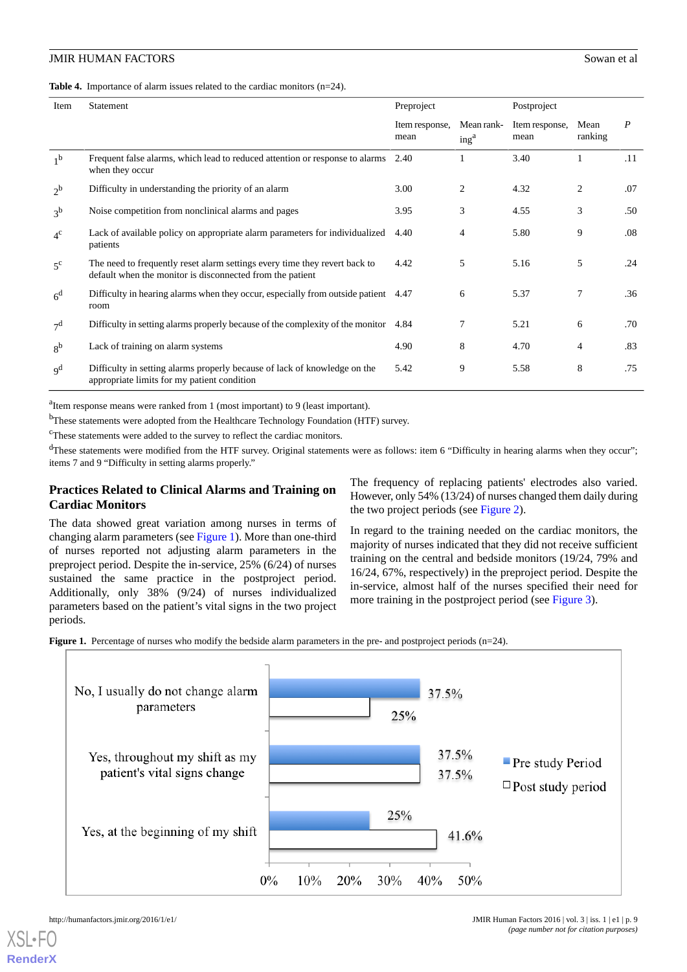<span id="page-8-0"></span>**Table 4.** Importance of alarm issues related to the cardiac monitors (n=24).

| Item                      | Statement                                                                                                                               | Preproject             |                                | Postproject            |                 |                  |
|---------------------------|-----------------------------------------------------------------------------------------------------------------------------------------|------------------------|--------------------------------|------------------------|-----------------|------------------|
|                           |                                                                                                                                         | Item response,<br>mean | Mean rank-<br>ing <sup>a</sup> | Item response,<br>mean | Mean<br>ranking | $\boldsymbol{P}$ |
| 1 <sup>b</sup>            | Frequent false alarms, which lead to reduced attention or response to alarms<br>when they occur                                         | 2.40                   |                                | 3.40                   |                 | .11              |
| $2^{\rm b}$               | Difficulty in understanding the priority of an alarm                                                                                    | 3.00                   | $\overline{c}$                 | 4.32                   | $\overline{c}$  | .07              |
| 3 <sup>b</sup>            | Noise competition from nonclinical alarms and pages                                                                                     | 3.95                   | 3                              | 4.55                   | 3               | .50              |
| $4^{\circ}$               | Lack of available policy on appropriate alarm parameters for individualized<br>patients                                                 | 4.40                   | 4                              | 5.80                   | 9               | .08              |
| $5^{\circ}$               | The need to frequently reset alarm settings every time they revert back to<br>default when the monitor is disconnected from the patient | 4.42                   | 5                              | 5.16                   | 5               | .24              |
| 6 <sup>d</sup>            | Difficulty in hearing alarms when they occur, especially from outside patient<br>room                                                   | 4.47                   | 6                              | 5.37                   | 7               | .36              |
| 7 <sup>d</sup>            | Difficulty in setting alarms properly because of the complexity of the monitor                                                          | 4.84                   | 7                              | 5.21                   | 6               | .70              |
| 8 <sup>b</sup>            | Lack of training on alarm systems                                                                                                       | 4.90                   | 8                              | 4.70                   | 4               | .83              |
| $\mathbf{q}^{\mathbf{d}}$ | Difficulty in setting alarms properly because of lack of knowledge on the<br>appropriate limits for my patient condition                | 5.42                   | 9                              | 5.58                   | 8               | .75              |

<sup>a</sup>Item response means were ranked from 1 (most important) to 9 (least important).

<sup>b</sup>These statements were adopted from the Healthcare Technology Foundation (HTF) survey.

<sup>c</sup>These statements were added to the survey to reflect the cardiac monitors.

<sup>d</sup>These statements were modified from the HTF survey. Original statements were as follows: item 6 "Difficulty in hearing alarms when they occur"; items 7 and 9 "Difficulty in setting alarms properly."

# **Practices Related to Clinical Alarms and Training on Cardiac Monitors**

<span id="page-8-1"></span>The data showed great variation among nurses in terms of changing alarm parameters (see [Figure 1\)](#page-8-1). More than one-third of nurses reported not adjusting alarm parameters in the preproject period. Despite the in-service, 25% (6/24) of nurses sustained the same practice in the postproject period. Additionally, only 38% (9/24) of nurses individualized parameters based on the patient's vital signs in the two project periods.

The frequency of replacing patients' electrodes also varied. However, only 54% (13/24) of nurses changed them daily during the two project periods (see [Figure 2](#page-9-0)).

In regard to the training needed on the cardiac monitors, the majority of nurses indicated that they did not receive sufficient training on the central and bedside monitors (19/24, 79% and 16/24, 67%, respectively) in the preproject period. Despite the in-service, almost half of the nurses specified their need for more training in the postproject period (see [Figure 3](#page-9-1)).

**Figure 1.** Percentage of nurses who modify the bedside alarm parameters in the pre- and postproject periods (n=24).

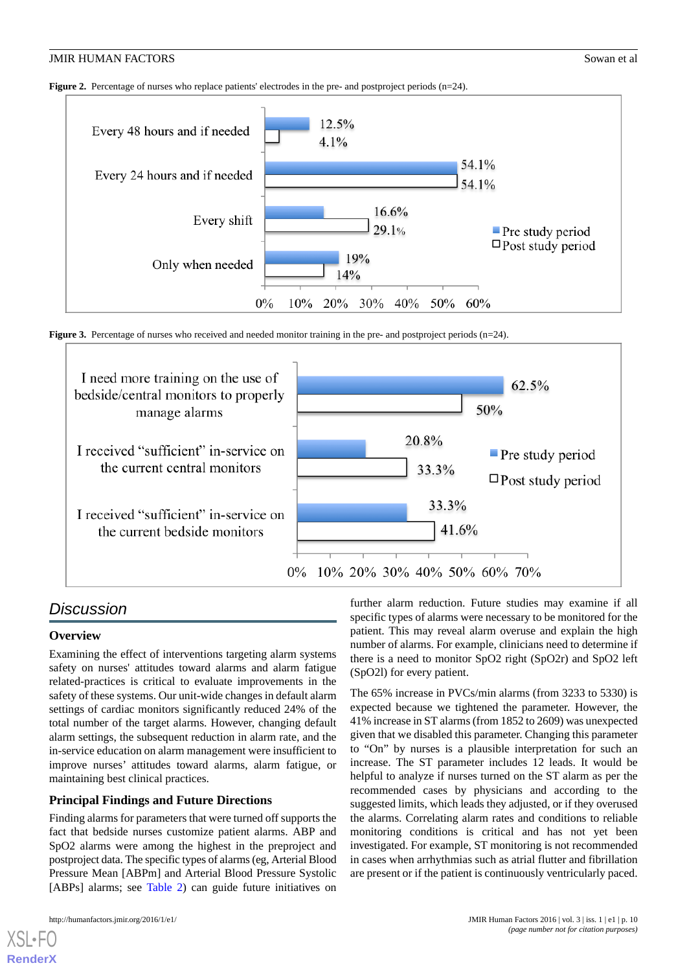<span id="page-9-0"></span>**Figure 2.** Percentage of nurses who replace patients' electrodes in the pre- and postproject periods (n=24).



<span id="page-9-1"></span>**Figure 3.** Percentage of nurses who received and needed monitor training in the pre- and postproject periods (n=24).



# *Discussion*

#### **Overview**

Examining the effect of interventions targeting alarm systems safety on nurses' attitudes toward alarms and alarm fatigue related-practices is critical to evaluate improvements in the safety of these systems. Our unit-wide changes in default alarm settings of cardiac monitors significantly reduced 24% of the total number of the target alarms. However, changing default alarm settings, the subsequent reduction in alarm rate, and the in-service education on alarm management were insufficient to improve nurses' attitudes toward alarms, alarm fatigue, or maintaining best clinical practices.

# **Principal Findings and Future Directions**

Finding alarms for parameters that were turned off supports the fact that bedside nurses customize patient alarms. ABP and SpO2 alarms were among the highest in the preproject and postproject data. The specific types of alarms (eg, Arterial Blood Pressure Mean [ABPm] and Arterial Blood Pressure Systolic [ABPs] alarms; see [Table 2](#page-5-0)) can guide future initiatives on

[XSL](http://www.w3.org/Style/XSL)•FO **[RenderX](http://www.renderx.com/)**

further alarm reduction. Future studies may examine if all specific types of alarms were necessary to be monitored for the patient. This may reveal alarm overuse and explain the high number of alarms. For example, clinicians need to determine if there is a need to monitor SpO2 right (SpO2r) and SpO2 left (SpO2l) for every patient.

The 65% increase in PVCs/min alarms (from 3233 to 5330) is expected because we tightened the parameter. However, the 41% increase in ST alarms (from 1852 to 2609) was unexpected given that we disabled this parameter. Changing this parameter to "On" by nurses is a plausible interpretation for such an increase. The ST parameter includes 12 leads. It would be helpful to analyze if nurses turned on the ST alarm as per the recommended cases by physicians and according to the suggested limits, which leads they adjusted, or if they overused the alarms. Correlating alarm rates and conditions to reliable monitoring conditions is critical and has not yet been investigated. For example, ST monitoring is not recommended in cases when arrhythmias such as atrial flutter and fibrillation are present or if the patient is continuously ventricularly paced.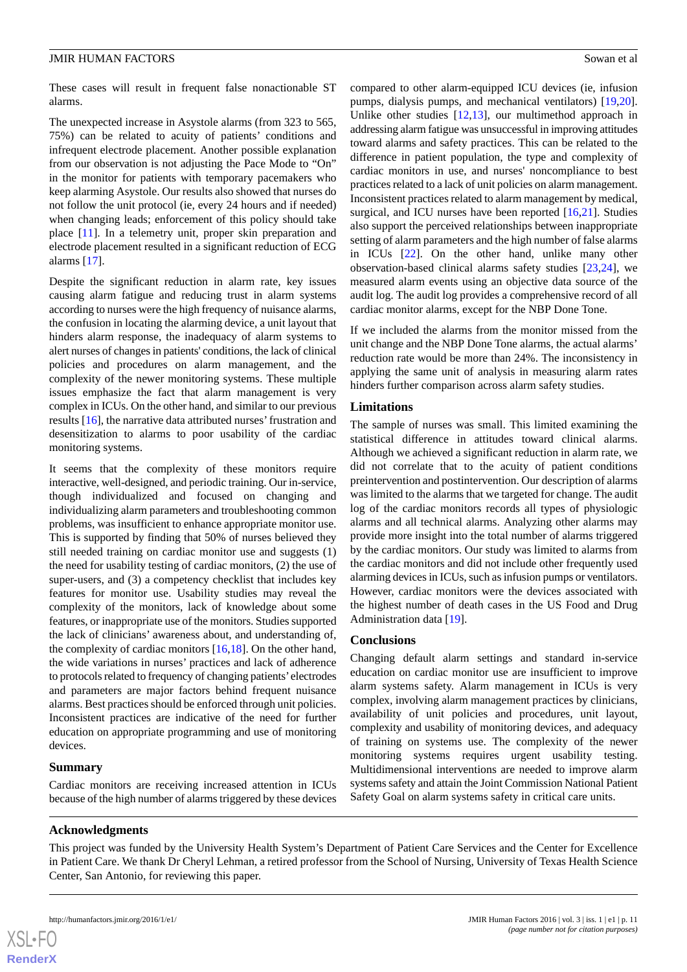These cases will result in frequent false nonactionable ST alarms.

The unexpected increase in Asystole alarms (from 323 to 565, 75%) can be related to acuity of patients' conditions and infrequent electrode placement. Another possible explanation from our observation is not adjusting the Pace Mode to "On" in the monitor for patients with temporary pacemakers who keep alarming Asystole. Our results also showed that nurses do not follow the unit protocol (ie, every 24 hours and if needed) when changing leads; enforcement of this policy should take place [\[11](#page-11-6)]. In a telemetry unit, proper skin preparation and electrode placement resulted in a significant reduction of ECG alarms [\[17](#page-11-13)].

Despite the significant reduction in alarm rate, key issues causing alarm fatigue and reducing trust in alarm systems according to nurses were the high frequency of nuisance alarms, the confusion in locating the alarming device, a unit layout that hinders alarm response, the inadequacy of alarm systems to alert nurses of changes in patients' conditions, the lack of clinical policies and procedures on alarm management, and the complexity of the newer monitoring systems. These multiple issues emphasize the fact that alarm management is very complex in ICUs. On the other hand, and similar to our previous results [\[16](#page-11-12)], the narrative data attributed nurses'frustration and desensitization to alarms to poor usability of the cardiac monitoring systems.

It seems that the complexity of these monitors require interactive, well-designed, and periodic training. Our in-service, though individualized and focused on changing and individualizing alarm parameters and troubleshooting common problems, was insufficient to enhance appropriate monitor use. This is supported by finding that 50% of nurses believed they still needed training on cardiac monitor use and suggests (1) the need for usability testing of cardiac monitors, (2) the use of super-users, and (3) a competency checklist that includes key features for monitor use. Usability studies may reveal the complexity of the monitors, lack of knowledge about some features, or inappropriate use of the monitors. Studies supported the lack of clinicians' awareness about, and understanding of, the complexity of cardiac monitors [\[16](#page-11-12),[18\]](#page-11-14). On the other hand, the wide variations in nurses' practices and lack of adherence to protocols related to frequency of changing patients'electrodes and parameters are major factors behind frequent nuisance alarms. Best practices should be enforced through unit policies. Inconsistent practices are indicative of the need for further education on appropriate programming and use of monitoring devices.

#### **Summary**

Cardiac monitors are receiving increased attention in ICUs because of the high number of alarms triggered by these devices

## compared to other alarm-equipped ICU devices (ie, infusion pumps, dialysis pumps, and mechanical ventilators) [\[19](#page-11-15),[20\]](#page-11-16). Unlike other studies [[12,](#page-11-7)[13](#page-11-8)], our multimethod approach in addressing alarm fatigue was unsuccessful in improving attitudes toward alarms and safety practices. This can be related to the difference in patient population, the type and complexity of cardiac monitors in use, and nurses' noncompliance to best practices related to a lack of unit policies on alarm management. Inconsistent practices related to alarm management by medical, surgical, and ICU nurses have been reported [[16,](#page-11-12)[21](#page-11-17)]. Studies also support the perceived relationships between inappropriate setting of alarm parameters and the high number of false alarms in ICUs [[22\]](#page-12-0). On the other hand, unlike many other observation-based clinical alarms safety studies [\[23](#page-12-1)[,24](#page-12-2)], we measured alarm events using an objective data source of the audit log. The audit log provides a comprehensive record of all

If we included the alarms from the monitor missed from the unit change and the NBP Done Tone alarms, the actual alarms' reduction rate would be more than 24%. The inconsistency in applying the same unit of analysis in measuring alarm rates hinders further comparison across alarm safety studies.

cardiac monitor alarms, except for the NBP Done Tone.

#### **Limitations**

The sample of nurses was small. This limited examining the statistical difference in attitudes toward clinical alarms. Although we achieved a significant reduction in alarm rate, we did not correlate that to the acuity of patient conditions preintervention and postintervention. Our description of alarms was limited to the alarms that we targeted for change. The audit log of the cardiac monitors records all types of physiologic alarms and all technical alarms. Analyzing other alarms may provide more insight into the total number of alarms triggered by the cardiac monitors. Our study was limited to alarms from the cardiac monitors and did not include other frequently used alarming devices in ICUs, such as infusion pumps or ventilators. However, cardiac monitors were the devices associated with the highest number of death cases in the US Food and Drug Administration data [\[19](#page-11-15)].

#### **Conclusions**

Changing default alarm settings and standard in-service education on cardiac monitor use are insufficient to improve alarm systems safety. Alarm management in ICUs is very complex, involving alarm management practices by clinicians, availability of unit policies and procedures, unit layout, complexity and usability of monitoring devices, and adequacy of training on systems use. The complexity of the newer monitoring systems requires urgent usability testing. Multidimensional interventions are needed to improve alarm systems safety and attain the Joint Commission National Patient Safety Goal on alarm systems safety in critical care units.

#### **Acknowledgments**

This project was funded by the University Health System's Department of Patient Care Services and the Center for Excellence in Patient Care. We thank Dr Cheryl Lehman, a retired professor from the School of Nursing, University of Texas Health Science Center, San Antonio, for reviewing this paper.

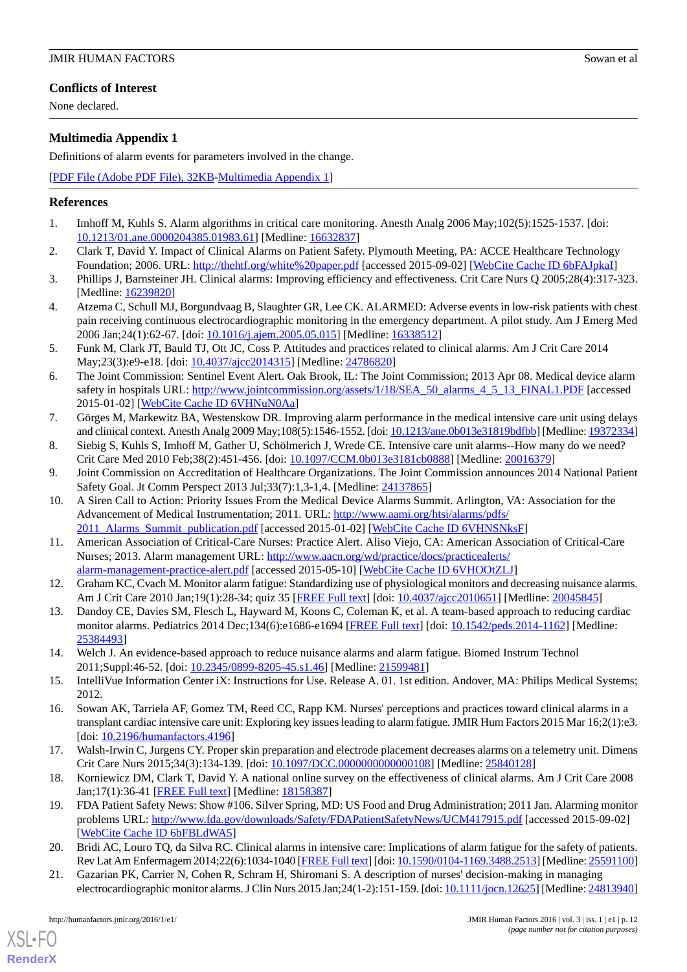# **Conflicts of Interest**

None declared.

# <span id="page-11-10"></span>**Multimedia Appendix 1**

Definitions of alarm events for parameters involved in the change.

[[PDF File \(Adobe PDF File\), 32KB-Multimedia Appendix 1](https://jmir.org/api/download?alt_name=humanfactors_v3i1e1_app1.pdf&filename=01a1447f387150fd30d5baad3c918aa7.pdf)]

# <span id="page-11-0"></span>**References**

- 1. Imhoff M, Kuhls S. Alarm algorithms in critical care monitoring. Anesth Analg 2006 May;102(5):1525-1537. [doi: [10.1213/01.ane.0000204385.01983.61\]](http://dx.doi.org/10.1213/01.ane.0000204385.01983.61) [Medline: [16632837](http://www.ncbi.nlm.nih.gov/entrez/query.fcgi?cmd=Retrieve&db=PubMed&list_uids=16632837&dopt=Abstract)]
- 2. Clark T, David Y. Impact of Clinical Alarms on Patient Safety. Plymouth Meeting, PA: ACCE Healthcare Technology Foundation; 2006. URL: <http://thehtf.org/white%20paper.pdf> [accessed 2015-09-02] [\[WebCite Cache ID 6bFAJpkaI\]](http://www.webcitation.org/

                                6bFAJpkaI)
- 3. Phillips J, Barnsteiner JH. Clinical alarms: Improving efficiency and effectiveness. Crit Care Nurs Q 2005;28(4):317-323. [Medline: [16239820](http://www.ncbi.nlm.nih.gov/entrez/query.fcgi?cmd=Retrieve&db=PubMed&list_uids=16239820&dopt=Abstract)]
- <span id="page-11-1"></span>4. Atzema C, Schull MJ, Borgundvaag B, Slaughter GR, Lee CK. ALARMED: Adverse events in low-risk patients with chest pain receiving continuous electrocardiographic monitoring in the emergency department. A pilot study. Am J Emerg Med 2006 Jan;24(1):62-67. [doi: [10.1016/j.ajem.2005.05.015\]](http://dx.doi.org/10.1016/j.ajem.2005.05.015) [Medline: [16338512\]](http://www.ncbi.nlm.nih.gov/entrez/query.fcgi?cmd=Retrieve&db=PubMed&list_uids=16338512&dopt=Abstract)
- <span id="page-11-2"></span>5. Funk M, Clark JT, Bauld TJ, Ott JC, Coss P. Attitudes and practices related to clinical alarms. Am J Crit Care 2014 May;23(3):e9-e18. [doi: [10.4037/ajcc2014315](http://dx.doi.org/10.4037/ajcc2014315)] [Medline: [24786820\]](http://www.ncbi.nlm.nih.gov/entrez/query.fcgi?cmd=Retrieve&db=PubMed&list_uids=24786820&dopt=Abstract)
- <span id="page-11-3"></span>6. The Joint Commission: Sentinel Event Alert. Oak Brook, IL: The Joint Commission; 2013 Apr 08. Medical device alarm safety in hospitals URL: [http://www.jointcommission.org/assets/1/18/SEA\\_50\\_alarms\\_4\\_5\\_13\\_FINAL1.PDF](http://www.jointcommission.org/assets/1/18/SEA_50_alarms_4_5_13_FINAL1.PDF) [accessed] 2015-01-02] [\[WebCite Cache ID 6VHNuN0Aa\]](http://www.webcitation.org/

                                6VHNuN0Aa)
- <span id="page-11-5"></span><span id="page-11-4"></span>7. Görges M, Markewitz BA, Westenskow DR. Improving alarm performance in the medical intensive care unit using delays and clinical context. Anesth Analg 2009 May;108(5):1546-1552. [doi: [10.1213/ane.0b013e31819bdfbb\]](http://dx.doi.org/10.1213/ane.0b013e31819bdfbb) [Medline: [19372334](http://www.ncbi.nlm.nih.gov/entrez/query.fcgi?cmd=Retrieve&db=PubMed&list_uids=19372334&dopt=Abstract)]
- 8. Siebig S, Kuhls S, Imhoff M, Gather U, Schölmerich J, Wrede CE. Intensive care unit alarms--How many do we need? Crit Care Med 2010 Feb;38(2):451-456. [doi: [10.1097/CCM.0b013e3181cb0888](http://dx.doi.org/10.1097/CCM.0b013e3181cb0888)] [Medline: [20016379\]](http://www.ncbi.nlm.nih.gov/entrez/query.fcgi?cmd=Retrieve&db=PubMed&list_uids=20016379&dopt=Abstract)
- 9. Joint Commission on Accreditation of Healthcare Organizations. The Joint Commission announces 2014 National Patient Safety Goal. Jt Comm Perspect 2013 Jul;33(7):1,3-1,4. [Medline: [24137865\]](http://www.ncbi.nlm.nih.gov/entrez/query.fcgi?cmd=Retrieve&db=PubMed&list_uids=24137865&dopt=Abstract)
- <span id="page-11-6"></span>10. A Siren Call to Action: Priority Issues From the Medical Device Alarms Summit. Arlington, VA: Association for the Advancement of Medical Instrumentation; 2011. URL: [http://www.aami.org/htsi/alarms/pdfs/](http://www.aami.org/htsi/alarms/pdfs/2011_Alarms_Summit_publication.pdf) 2011 Alarms Summit publication.pdf [accessed 2015-01-02] [[WebCite Cache ID 6VHNSNksF](http://www.webcitation.org/

                                6VHNSNksF)]
- <span id="page-11-8"></span><span id="page-11-7"></span>11. American Association of Critical-Care Nurses: Practice Alert. Aliso Viejo, CA: American Association of Critical-Care Nurses; 2013. Alarm management URL: [http://www.aacn.org/wd/practice/docs/practicealerts/](http://www.aacn.org/wd/practice/docs/practicealerts/alarm-management-practice-alert.pdf) [alarm-management-practice-alert.pdf](http://www.aacn.org/wd/practice/docs/practicealerts/alarm-management-practice-alert.pdf) [accessed 2015-05-10] [[WebCite Cache ID 6VHOOtZLJ](http://www.webcitation.org/

                                6VHOOtZLJ)]
- <span id="page-11-9"></span>12. Graham KC, Cvach M. Monitor alarm fatigue: Standardizing use of physiological monitors and decreasing nuisance alarms. Am J Crit Care 2010 Jan;19(1):28-34; quiz 35 [\[FREE Full text\]](http://ajcc.aacnjournals.org/cgi/pmidlookup?view=long&pmid=20045845) [doi: [10.4037/ajcc2010651](http://dx.doi.org/10.4037/ajcc2010651)] [Medline: [20045845\]](http://www.ncbi.nlm.nih.gov/entrez/query.fcgi?cmd=Retrieve&db=PubMed&list_uids=20045845&dopt=Abstract)
- <span id="page-11-11"></span>13. Dandoy CE, Davies SM, Flesch L, Hayward M, Koons C, Coleman K, et al. A team-based approach to reducing cardiac monitor alarms. Pediatrics 2014 Dec;134(6):e1686-e1694 [\[FREE Full text\]](http://pediatrics.aappublications.org/search?author1=Laura+Flesch&sortspec=date&submit=Submit) [doi: [10.1542/peds.2014-1162](http://dx.doi.org/10.1542/peds.2014-1162)] [Medline: [25384493](http://www.ncbi.nlm.nih.gov/entrez/query.fcgi?cmd=Retrieve&db=PubMed&list_uids=25384493&dopt=Abstract)]
- <span id="page-11-12"></span>14. Welch J. An evidence-based approach to reduce nuisance alarms and alarm fatigue. Biomed Instrum Technol 2011;Suppl:46-52. [doi: [10.2345/0899-8205-45.s1.46\]](http://dx.doi.org/10.2345/0899-8205-45.s1.46) [Medline: [21599481\]](http://www.ncbi.nlm.nih.gov/entrez/query.fcgi?cmd=Retrieve&db=PubMed&list_uids=21599481&dopt=Abstract)
- <span id="page-11-13"></span>15. IntelliVue Information Center iX: Instructions for Use. Release A. 01. 1st edition. Andover, MA: Philips Medical Systems; 2012.
- <span id="page-11-15"></span><span id="page-11-14"></span>16. Sowan AK, Tarriela AF, Gomez TM, Reed CC, Rapp KM. Nurses' perceptions and practices toward clinical alarms in a transplant cardiac intensive care unit: Exploring key issues leading to alarm fatigue. JMIR Hum Factors 2015 Mar 16;2(1):e3. [doi: [10.2196/humanfactors.4196](http://dx.doi.org/10.2196/humanfactors.4196)]
- <span id="page-11-16"></span>17. Walsh-Irwin C, Jurgens CY. Proper skin preparation and electrode placement decreases alarms on a telemetry unit. Dimens Crit Care Nurs 2015;34(3):134-139. [doi: [10.1097/DCC.0000000000000108](http://dx.doi.org/10.1097/DCC.0000000000000108)] [Medline: [25840128\]](http://www.ncbi.nlm.nih.gov/entrez/query.fcgi?cmd=Retrieve&db=PubMed&list_uids=25840128&dopt=Abstract)
- <span id="page-11-17"></span>18. Korniewicz DM, Clark T, David Y. A national online survey on the effectiveness of clinical alarms. Am J Crit Care 2008 Jan;17(1):36-41 [\[FREE Full text\]](http://ajcc.aacnjournals.org/cgi/pmidlookup?view=long&pmid=18158387) [Medline: [18158387](http://www.ncbi.nlm.nih.gov/entrez/query.fcgi?cmd=Retrieve&db=PubMed&list_uids=18158387&dopt=Abstract)]
- 19. FDA Patient Safety News: Show #106. Silver Spring, MD: US Food and Drug Administration; 2011 Jan. Alarming monitor problems URL: <http://www.fda.gov/downloads/Safety/FDAPatientSafetyNews/UCM417915.pdf> [accessed 2015-09-02] [[WebCite Cache ID 6bFBLdWA5](http://www.webcitation.org/

                                6bFBLdWA5)]
- 20. Bridi AC, Louro TQ, da Silva RC. Clinical alarms in intensive care: Implications of alarm fatigue for the safety of patients. Rev Lat Am Enfermagem 2014;22(6):1034-1040 [\[FREE Full text](http://www.scielo.br/scielo.php?script=sci_arttext&pid=S0104-11692014000601034&lng=en&nrm=iso&tlng=en)] [doi: [10.1590/0104-1169.3488.2513](http://dx.doi.org/10.1590/0104-1169.3488.2513)] [Medline: [25591100\]](http://www.ncbi.nlm.nih.gov/entrez/query.fcgi?cmd=Retrieve&db=PubMed&list_uids=25591100&dopt=Abstract)
- 21. Gazarian PK, Carrier N, Cohen R, Schram H, Shiromani S. A description of nurses' decision-making in managing electrocardiographic monitor alarms. J Clin Nurs 2015 Jan;24(1-2):151-159. [doi: [10.1111/jocn.12625](http://dx.doi.org/10.1111/jocn.12625)] [Medline: [24813940](http://www.ncbi.nlm.nih.gov/entrez/query.fcgi?cmd=Retrieve&db=PubMed&list_uids=24813940&dopt=Abstract)]